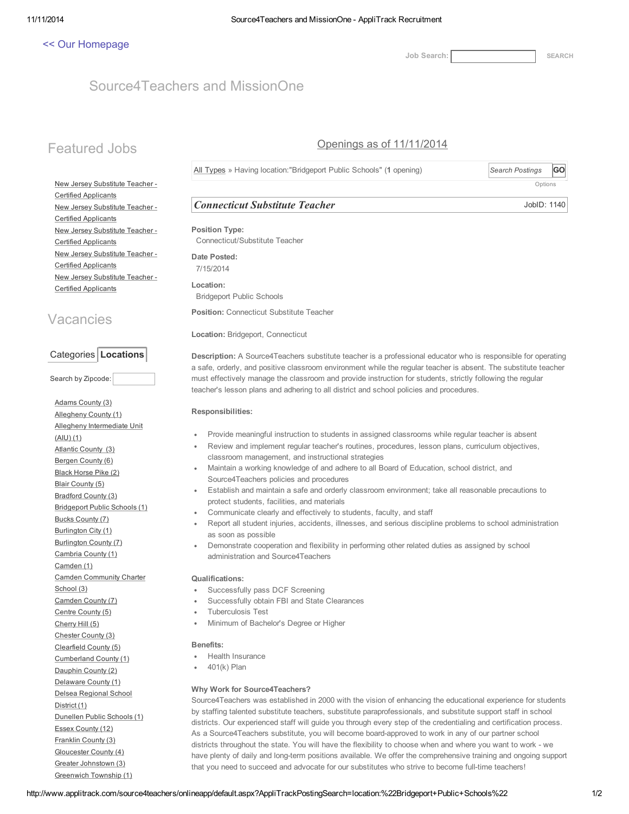### << Our [Homepage](http://www.source4teachers.com/)

Job Search: [SEARCH](javascript:__doPostBack()

# Source4Teachers and MissionOne

# Featured Jobs

## Openings as of 11/11/2014

All Types » Having location:"Bridgeport Public Schools" (1 opening) *Search Postings* GO

**Options** 

JobID: 1140

New Jersey Substitute Teacher - Certified Applicants New Jersey Substitute Teacher - Certified Applicants New Jersey Substitute Teacher - Certified Applicants New Jersey Substitute Teacher - Certified Applicants New Jersey Substitute Teacher - Certified Applicants

# Vacancies

### Categories | Locations

Search by Zipcode:

Adams County (3) Allegheny County (1) Allegheny Intermediate Unit (AIU) (1) Atlantic County (3) Bergen County (6) Black Horse Pike (2) Blair County (5) Bradford County (3) Bridgeport Public Schools (1) Bucks County (7) Burlington City (1) Burlington County (7) Cambria County (1) Camden (1) Camden Community Charter School (3) Camden County (7) Centre County (5) Cherry Hill (5) Chester County (3) Clearfield County (5) Cumberland County (1) Dauphin County (2) Delaware County (1) Delsea Regional School District (1) Dunellen Public Schools (1) Essex County (12) Franklin County (3) Gloucester County (4) Greater Johnstown (3) Greenwich Township (1)

## Connecticut Substitute Teacher

Position Type: Connecticut/Substitute Teacher Date Posted: 7/15/2014 Location: Bridgeport Public Schools Position: Connecticut Substitute Teacher

Location: Bridgeport, Connecticut

Description: A Source4Teachers substitute teacher is a professional educator who is responsible for operating a safe, orderly, and positive classroom environment while the regular teacher is absent. The substitute teacher must effectively manage the classroom and provide instruction for students, strictly following the regular teacher's lesson plans and adhering to all district and school policies and procedures.

#### Responsibilities:

- Provide meaningful instruction to students in assigned classrooms while regular teacher is absent
- Review and implement regular teacher's routines, procedures, lesson plans, curriculum objectives, classroom management, and instructional strategies
- Maintain a working knowledge of and adhere to all Board of Education, school district, and Source4Teachers policies and procedures
- Establish and maintain a safe and orderly classroom environment; take all reasonable precautions to  $\bullet$ protect students, facilities, and materials
- Communicate clearly and effectively to students, faculty, and staff
- Report all student injuries, accidents, illnesses, and serious discipline problems to school administration as soon as possible
- Demonstrate cooperation and flexibility in performing other related duties as assigned by school administration and Source4Teachers

#### Qualifications:

- Successfully pass DCF Screening
- Successfully obtain FBI and State Clearances
- Tuberculosis Test
- Minimum of Bachelor's Degree or Higher

#### Benefits:

- Health Insurance
- 401(k) Plan

#### Why Work for Source4Teachers?

Source4Teachers was established in 2000 with the vision of enhancing the educational experience for students by staffing talented substitute teachers, substitute paraprofessionals, and substitute support staff in school districts. Our experienced staff will guide you through every step of the credentialing and certification process. As a Source4Teachers substitute, you will become board-approved to work in any of our partner school districts throughout the state. You will have the flexibility to choose when and where you want to work - we have plenty of daily and long-term positions available. We offer the comprehensive training and ongoing support that you need to succeed and advocate for our substitutes who strive to become full-time teachers!